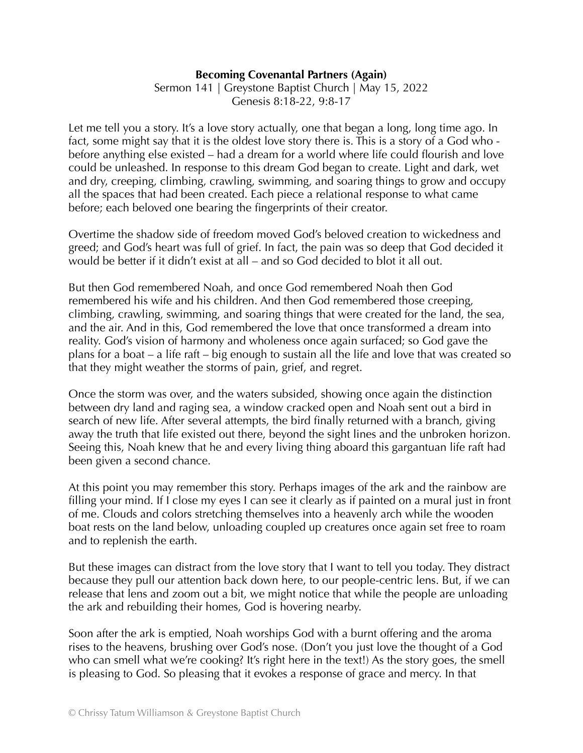## **Becoming Covenantal Partners (Again)**

Sermon 141 | Greystone Baptist Church | May 15, 2022 Genesis 8:18-22, 9:8-17

Let me tell you a story. It's a love story actually, one that began a long, long time ago. In fact, some might say that it is the oldest love story there is. This is a story of a God who before anything else existed – had a dream for a world where life could flourish and love could be unleashed. In response to this dream God began to create. Light and dark, wet and dry, creeping, climbing, crawling, swimming, and soaring things to grow and occupy all the spaces that had been created. Each piece a relational response to what came before; each beloved one bearing the fingerprints of their creator.

Overtime the shadow side of freedom moved God's beloved creation to wickedness and greed; and God's heart was full of grief. In fact, the pain was so deep that God decided it would be better if it didn't exist at all – and so God decided to blot it all out.

But then God remembered Noah, and once God remembered Noah then God remembered his wife and his children. And then God remembered those creeping, climbing, crawling, swimming, and soaring things that were created for the land, the sea, and the air. And in this, God remembered the love that once transformed a dream into reality. God's vision of harmony and wholeness once again surfaced; so God gave the plans for a boat – a life raft – big enough to sustain all the life and love that was created so that they might weather the storms of pain, grief, and regret.

Once the storm was over, and the waters subsided, showing once again the distinction between dry land and raging sea, a window cracked open and Noah sent out a bird in search of new life. After several attempts, the bird finally returned with a branch, giving away the truth that life existed out there, beyond the sight lines and the unbroken horizon. Seeing this, Noah knew that he and every living thing aboard this gargantuan life raft had been given a second chance.

At this point you may remember this story. Perhaps images of the ark and the rainbow are filling your mind. If I close my eyes I can see it clearly as if painted on a mural just in front of me. Clouds and colors stretching themselves into a heavenly arch while the wooden boat rests on the land below, unloading coupled up creatures once again set free to roam and to replenish the earth.

But these images can distract from the love story that I want to tell you today. They distract because they pull our attention back down here, to our people-centric lens. But, if we can release that lens and zoom out a bit, we might notice that while the people are unloading the ark and rebuilding their homes, God is hovering nearby.

Soon after the ark is emptied, Noah worships God with a burnt offering and the aroma rises to the heavens, brushing over God's nose. (Don't you just love the thought of a God who can smell what we're cooking? It's right here in the text!) As the story goes, the smell is pleasing to God. So pleasing that it evokes a response of grace and mercy. In that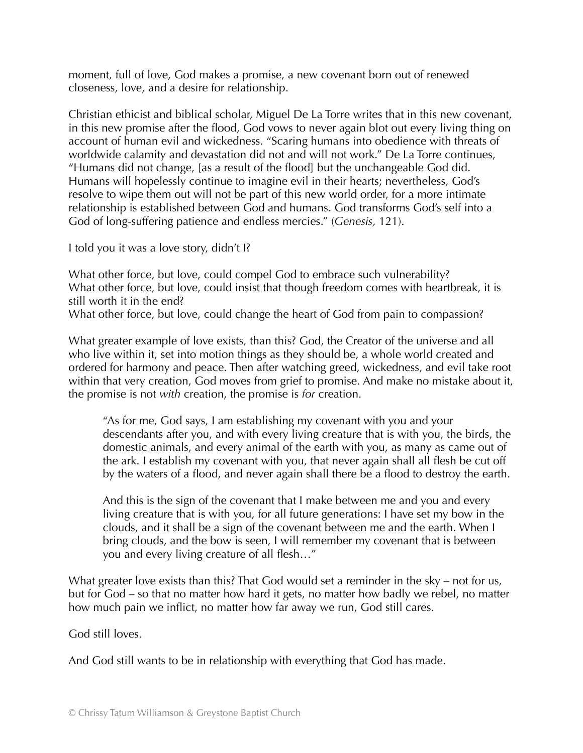moment, full of love, God makes a promise, a new covenant born out of renewed closeness, love, and a desire for relationship.

Christian ethicist and biblical scholar, Miguel De La Torre writes that in this new covenant, in this new promise after the flood, God vows to never again blot out every living thing on account of human evil and wickedness. "Scaring humans into obedience with threats of worldwide calamity and devastation did not and will not work." De La Torre continues, "Humans did not change, [as a result of the flood] but the unchangeable God did. Humans will hopelessly continue to imagine evil in their hearts; nevertheless, God's resolve to wipe them out will not be part of this new world order, for a more intimate relationship is established between God and humans. God transforms God's self into a God of long-suffering patience and endless mercies." (*Genesis,* 121).

I told you it was a love story, didn't I?

What other force, but love, could compel God to embrace such vulnerability? What other force, but love, could insist that though freedom comes with heartbreak, it is still worth it in the end?

What other force, but love, could change the heart of God from pain to compassion?

What greater example of love exists, than this? God, the Creator of the universe and all who live within it, set into motion things as they should be, a whole world created and ordered for harmony and peace. Then after watching greed, wickedness, and evil take root within that very creation, God moves from grief to promise. And make no mistake about it, the promise is not *with* creation, the promise is *for* creation.

"As for me, God says, I am establishing my covenant with you and your descendants after you, and with every living creature that is with you, the birds, the domestic animals, and every animal of the earth with you, as many as came out of the ark. I establish my covenant with you, that never again shall all flesh be cut off by the waters of a flood, and never again shall there be a flood to destroy the earth.

And this is the sign of the covenant that I make between me and you and every living creature that is with you, for all future generations: I have set my bow in the clouds, and it shall be a sign of the covenant between me and the earth. When I bring clouds, and the bow is seen, I will remember my covenant that is between you and every living creature of all flesh…"

What greater love exists than this? That God would set a reminder in the sky – not for us, but for God – so that no matter how hard it gets, no matter how badly we rebel, no matter how much pain we inflict, no matter how far away we run, God still cares.

God still loves.

And God still wants to be in relationship with everything that God has made.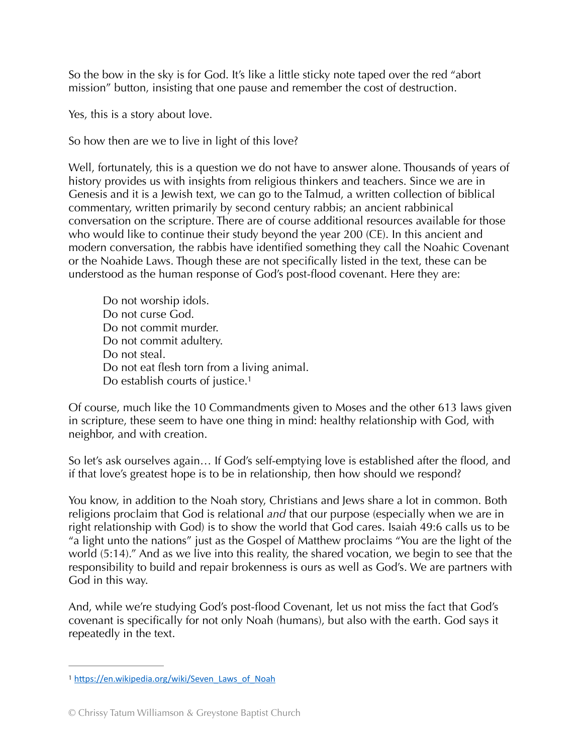So the bow in the sky is for God. It's like a little sticky note taped over the red "abort mission" button, insisting that one pause and remember the cost of destruction.

Yes, this is a story about love.

So how then are we to live in light of this love?

Well, fortunately, this is a question we do not have to answer alone. Thousands of years of history provides us with insights from religious thinkers and teachers. Since we are in Genesis and it is a Jewish text, we can go to the Talmud, a written collection of biblical commentary, written primarily by second century rabbis; an ancient rabbinical conversation on the scripture. There are of course additional resources available for those who would like to continue their study beyond the year 200 (CE). In this ancient and modern conversation, the rabbis have identified something they call the Noahic Covenant or the Noahide Laws. Though these are not specifically listed in the text, these can be understood as the human response of God's post-flood covenant. Here they are:

<span id="page-2-1"></span>Do not worship idols. Do not curse God. Do not commit murder. Do not commit adultery. Do not steal. Do not eat flesh torn from a living animal. Do establish courts of justice.<sup>1</sup>

Of course, much like the 10 Commandments given to Moses and the other 613 laws given in scripture, these seem to have one thing in mind: healthy relationship with God, with neighbor, and with creation.

So let's ask ourselves again… If God's self-emptying love is established after the flood, and if that love's greatest hope is to be in relationship, then how should we respond?

You know, in addition to the Noah story, Christians and Jews share a lot in common. Both religions proclaim that God is relational *and* that our purpose (especially when we are in right relationship with God) is to show the world that God cares. Isaiah 49:6 calls us to be "a light unto the nations" just as the Gospel of Matthew proclaims "You are the light of the world (5:14)." And as we live into this reality, the shared vocation, we begin to see that the responsibility to build and repair brokenness is ours as well as God's. We are partners with God in this way.

And, while we're studying God's post-flood Covenant, let us not miss the fact that God's covenant is specifically for not only Noah (humans), but also with the earth. God says it repeatedly in the text.

<span id="page-2-0"></span><sup>&</sup>lt;sup>[1](#page-2-1)</sup> https://en.wikipedia.org/wiki/Seven\_Laws\_of\_Noah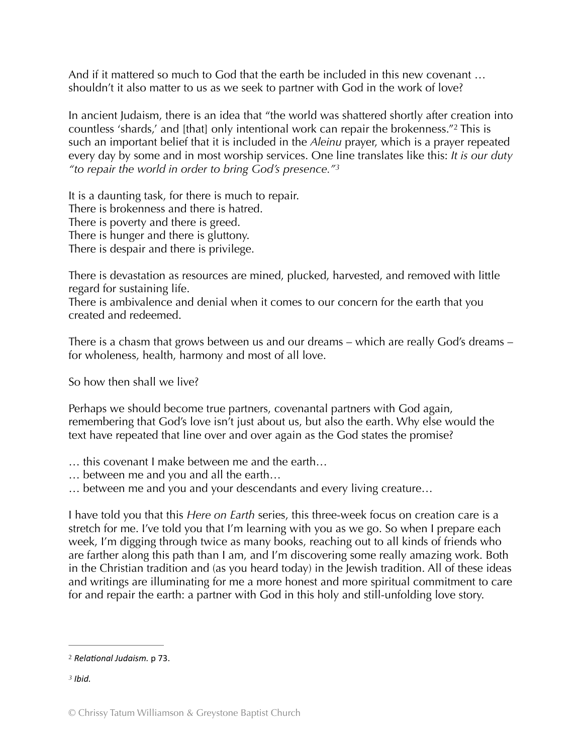And if it mattered so much to God that the earth be included in this new covenant … shouldn't it also matter to us as we seek to partner with God in the work of love?

<span id="page-3-2"></span>In ancient Judaism, there is an idea that "the world was shattered shortly after creation into countless 'shards,' and [that] only intentional work can repair the brokenness."<sup>[2](#page-3-0)</sup> This is such an important belief that it is included in the *Aleinu* prayer, which is a prayer repeated every day by some and in most worship services. One line translates like this: *It is our duty "to repair the world in order to bring God's presence." [3](#page-3-1)*

<span id="page-3-3"></span>It is a daunting task, for there is much to repair. There is brokenness and there is hatred. There is poverty and there is greed. There is hunger and there is gluttony. There is despair and there is privilege.

There is devastation as resources are mined, plucked, harvested, and removed with little regard for sustaining life.

There is ambivalence and denial when it comes to our concern for the earth that you created and redeemed.

There is a chasm that grows between us and our dreams – which are really God's dreams – for wholeness, health, harmony and most of all love.

So how then shall we live?

Perhaps we should become true partners, covenantal partners with God again, remembering that God's love isn't just about us, but also the earth. Why else would the text have repeated that line over and over again as the God states the promise?

- … this covenant I make between me and the earth…
- … between me and you and all the earth…
- … between me and you and your descendants and every living creature…

I have told you that this *Here on Earth* series, this three-week focus on creation care is a stretch for me. I've told you that I'm learning with you as we go. So when I prepare each week, I'm digging through twice as many books, reaching out to all kinds of friends who are farther along this path than I am, and I'm discovering some really amazing work. Both in the Christian tradition and (as you heard today) in the Jewish tradition. All of these ideas and writings are illuminating for me a more honest and more spiritual commitment to care for and repair the earth: a partner with God in this holy and still-unfolding love story.

<span id="page-3-0"></span>*Rela%onal Judaism.* p 73. [2](#page-3-2)

<span id="page-3-1"></span>*Ibid. [3](#page-3-3)*